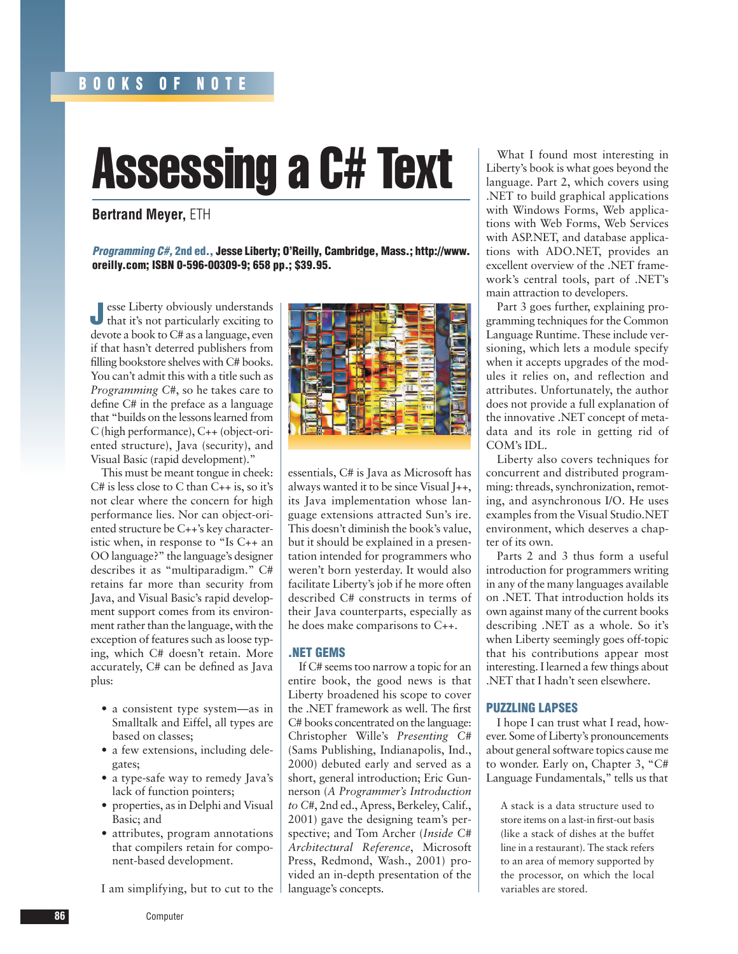# Assessing a C# Text

# **Bertrand Meyer,** ETH

*Programming C#,* **2nd ed., Jesse Liberty; O'Reilly, Cambridge, Mass.; http://www. oreilly.com; ISBN 0-596-00309-9; 658 pp.; \$39.95.**

Jesse Liberty obviously understands that it's not particularly exciting to devote a book to C# as a language, even if that hasn't deterred publishers from filling bookstore shelves with C# books. You can't admit this with a title such as *Programming C#*, so he takes care to define C# in the preface as a language that "builds on the lessons learned from C (high performance), C++ (object-oriented structure), Java (security), and Visual Basic (rapid development)."

This must be meant tongue in cheek: C# is less close to C than C++ is, so it's not clear where the concern for high performance lies. Nor can object-oriented structure be C++'s key characteristic when, in response to "Is C++ an OO language?" the language's designer describes it as "multiparadigm." C# retains far more than security from Java, and Visual Basic's rapid development support comes from its environment rather than the language, with the exception of features such as loose typing, which C# doesn't retain. More accurately, C# can be defined as Java plus:

- a consistent type system—as in Smalltalk and Eiffel, all types are based on classes;
- a few extensions, including delegates;
- a type-safe way to remedy Java's lack of function pointers;
- properties, as in Delphi and Visual Basic; and
- attributes, program annotations that compilers retain for component-based development.

I am simplifying, but to cut to the

|  | <b>Go</b> |  |
|--|-----------|--|
|  |           |  |

essentials, C# is Java as Microsoft has always wanted it to be since Visual J++, its Java implementation whose language extensions attracted Sun's ire. This doesn't diminish the book's value, but it should be explained in a presentation intended for programmers who weren't born yesterday. It would also facilitate Liberty's job if he more often described C# constructs in terms of their Java counterparts, especially as he does make comparisons to C++.

## **.NET GEMS**

If C# seems too narrow a topic for an entire book, the good news is that Liberty broadened his scope to cover the .NET framework as well. The first C# books concentrated on the language: Christopher Wille's *Presenting C#* (Sams Publishing, Indianapolis, Ind., 2000) debuted early and served as a short, general introduction; Eric Gunnerson (*A Programmer's Introduction to C#*, 2nd ed., Apress, Berkeley, Calif., 2001) gave the designing team's perspective; and Tom Archer (*Inside C# Architectural Reference*, Microsoft Press, Redmond, Wash., 2001) provided an in-depth presentation of the language's concepts.

What I found most interesting in Liberty's book is what goes beyond the language. Part 2, which covers using .NET to build graphical applications with Windows Forms, Web applications with Web Forms, Web Services with ASP.NET, and database applications with ADO.NET, provides an excellent overview of the .NET framework's central tools, part of .NET's main attraction to developers.

Part 3 goes further, explaining programming techniques for the Common Language Runtime. These include versioning, which lets a module specify when it accepts upgrades of the modules it relies on, and reflection and attributes. Unfortunately, the author does not provide a full explanation of the innovative .NET concept of metadata and its role in getting rid of COM's IDL.

Liberty also covers techniques for concurrent and distributed programming: threads, synchronization, remoting, and asynchronous I/O. He uses examples from the Visual Studio.NET environment, which deserves a chapter of its own.

Parts 2 and 3 thus form a useful introduction for programmers writing in any of the many languages available on .NET. That introduction holds its own against many of the current books describing .NET as a whole. So it's when Liberty seemingly goes off-topic that his contributions appear most interesting. I learned a few things about .NET that I hadn't seen elsewhere.

## **PUZZLING LAPSES**

I hope I can trust what I read, however. Some of Liberty's pronouncements about general software topics cause me to wonder. Early on, Chapter 3, "C# Language Fundamentals," tells us that

A stack is a data structure used to store items on a last-in first-out basis (like a stack of dishes at the buffet line in a restaurant). The stack refers to an area of memory supported by the processor, on which the local variables are stored.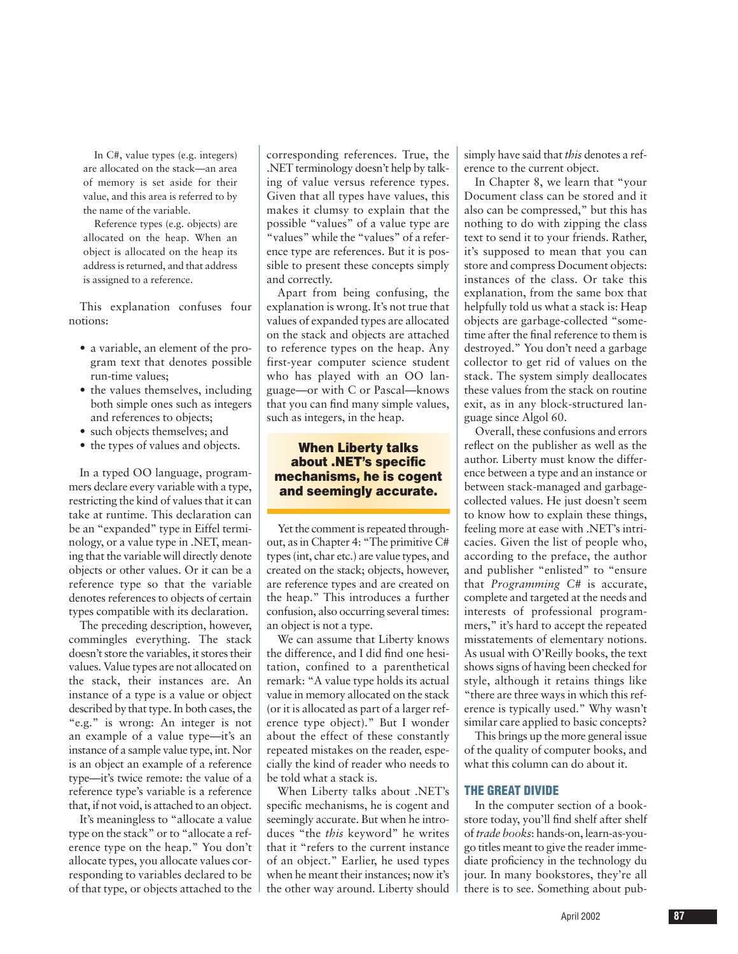In C#, value types (e.g. integers) are allocated on the stack—an area of memory is set aside for their value, and this area is referred to by the name of the variable.

Reference types (e.g. objects) are allocated on the heap. When an object is allocated on the heap its address is returned, and that address is assigned to a reference.

This explanation confuses four notions:

- a variable, an element of the program text that denotes possible run-time values;
- the values themselves, including both simple ones such as integers and references to objects;
- such objects themselves; and
- the types of values and objects.

In a typed OO language, programmers declare every variable with a type, restricting the kind of values that it can take at runtime. This declaration can be an "expanded" type in Eiffel terminology, or a value type in .NET, meaning that the variable will directly denote objects or other values. Or it can be a reference type so that the variable denotes references to objects of certain types compatible with its declaration.

The preceding description, however, commingles everything. The stack doesn't store the variables, it stores their values. Value types are not allocated on the stack, their instances are. An instance of a type is a value or object described by that type. In both cases, the "e.g." is wrong: An integer is not an example of a value type—it's an instance of a sample value type, int. Nor is an object an example of a reference type—it's twice remote: the value of a reference type's variable is a reference that, if not void, is attached to an object.

It's meaningless to "allocate a value type on the stack" or to "allocate a reference type on the heap." You don't allocate types, you allocate values corresponding to variables declared to be of that type, or objects attached to the corresponding references. True, the .NET terminology doesn't help by talking of value versus reference types. Given that all types have values, this makes it clumsy to explain that the possible "values" of a value type are "values" while the "values" of a reference type are references. But it is possible to present these concepts simply and correctly.

Apart from being confusing, the explanation is wrong. It's not true that values of expanded types are allocated on the stack and objects are attached to reference types on the heap. Any first-year computer science student who has played with an OO language—or with C or Pascal—knows that you can find many simple values, such as integers, in the heap.

# **When Liberty talks about .NET's specific mechanisms, he is cogent and seemingly accurate.**

Yet the comment is repeated throughout, as in Chapter 4: "The primitive C# types (int, char etc.) are value types, and created on the stack; objects, however, are reference types and are created on the heap." This introduces a further confusion, also occurring several times: an object is not a type.

We can assume that Liberty knows the difference, and I did find one hesitation, confined to a parenthetical remark: "A value type holds its actual value in memory allocated on the stack (or it is allocated as part of a larger reference type object)." But I wonder about the effect of these constantly repeated mistakes on the reader, especially the kind of reader who needs to be told what a stack is.

When Liberty talks about .NET's specific mechanisms, he is cogent and seemingly accurate. But when he introduces "the *this* keyword" he writes that it "refers to the current instance of an object." Earlier, he used types when he meant their instances; now it's the other way around. Liberty should simply have said that *this* denotes a reference to the current object.

In Chapter 8, we learn that "your Document class can be stored and it also can be compressed," but this has nothing to do with zipping the class text to send it to your friends. Rather, it's supposed to mean that you can store and compress Document objects: instances of the class. Or take this explanation, from the same box that helpfully told us what a stack is: Heap objects are garbage-collected "sometime after the final reference to them is destroyed." You don't need a garbage collector to get rid of values on the stack. The system simply deallocates these values from the stack on routine exit, as in any block-structured language since Algol 60.

Overall, these confusions and errors reflect on the publisher as well as the author. Liberty must know the difference between a type and an instance or between stack-managed and garbagecollected values. He just doesn't seem to know how to explain these things, feeling more at ease with .NET's intricacies. Given the list of people who, according to the preface, the author and publisher "enlisted" to "ensure that *Programming C#* is accurate, complete and targeted at the needs and interests of professional programmers," it's hard to accept the repeated misstatements of elementary notions. As usual with O'Reilly books, the text shows signs of having been checked for style, although it retains things like "there are three ways in which this reference is typically used." Why wasn't similar care applied to basic concepts?

This brings up the more general issue of the quality of computer books, and what this column can do about it.

#### **THE GREAT DIVIDE**

In the computer section of a bookstore today, you'll find shelf after shelf of *trade books*: hands-on, learn-as-yougo titles meant to give the reader immediate proficiency in the technology du jour. In many bookstores, they're all there is to see. Something about pub